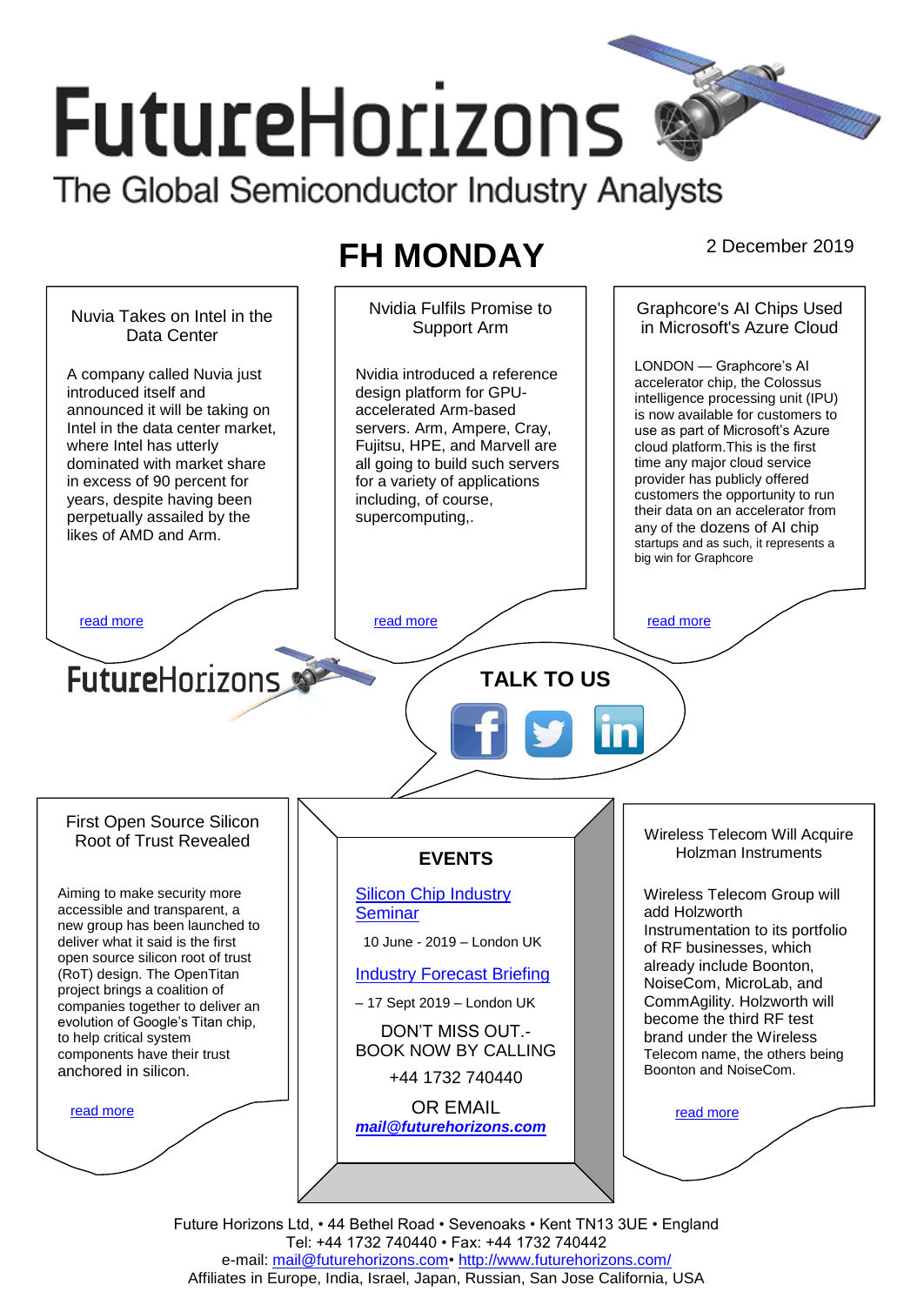# **FutureHorizons** The Global Semiconductor Industry Analysts

# **FH MONDAY** 2 December 2019

Nvidia Fulfils Promise to Graphcore's AI Chips Used Nuvia Takes on Intel in the Support Arm in Microsoft's Azure Cloud Data Center LONDON — Graphcore's AI A company called Nuvia just Nvidia introduced a reference accelerator chip, the Colossus introduced itself and design platform for GPUintelligence processing unit (IPU) announced it will be taking on accelerated Arm-based is now available for customers to Intel in the data center market, servers. Arm, Ampere, Cray, use as part of Microsoft's Azure where Intel has utterly Fujitsu, HPE, and Marvell are cloud platform.This is the first all going to build such servers dominated with market share time any major cloud service provider has publicly offered in excess of 90 percent for for a variety of applications customers the opportunity to run years, despite having been including, of course, their data on an accelerator from perpetually assailed by the supercomputing,. any of the dozens of AI chip likes of AMD and Arm. startups and as such, it represents a big win for Graphcore [read more](#page-1-1) that the second contract the second contract of the read more that the read more that the read more **Future**Horizons **TALK TO US** First Open Source Silicon Wireless Telecom Will Acquire Root of Trust Revealed Holzman Instruments **EVENTS** Aiming to make security more [Silicon Chip Industry](http://www.futurehorizons.com/page/12/silicon-chip-training)  Wireless Telecom Group will accessible and transparent, a **[Seminar](http://www.futurehorizons.com/page/12/silicon-chip-training)** add Holzworth new group has been launched to Instrumentation to its portfolio deliver what it said is the first 10 June - 2019 – London UK of RF businesses, which open source silicon root of trust already include Boonton, (RoT) design. The OpenTitan [Industry Forecast Briefing](http://www.futurehorizons.com/page/13/Semiconductor-Market-Forecast-Seminar) NoiseCom, MicroLab, and project brings a coalition of CommAgility. Holzworth will – 17 Sept 2019 – London UK companies together to deliver an become the third RF test evolution of Google's Titan chip, DON'T MISS OUT. brand under the Wireless to help critical system BOOK NOW BY CALLING components have their trust Telecom name, the others being anchored in silicon.Boonton and NoiseCom. +44 1732 740440 OR EMAIL [read more](#page-1-3) [read more](#page-1-4) *[mail@futurehorizons.com](mailto:mail@futurehorizons.com)*

Future Horizons Ltd, • 44 Bethel Road • Sevenoaks • Kent TN13 3UE • England Tel: +44 1732 740440 • Fax: +44 1732 740442 e-mail: mail@futurehorizons.com• http://www.futurehorizons.com/ Affiliates in Europe, India, Israel, Japan, Russian, San Jose California, USA